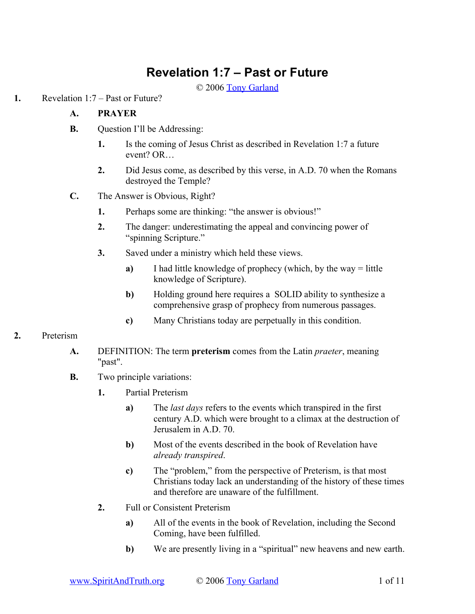# **Revelation 1:7 – Past or Future**

© 2006 [Tony Garland](http://www.SpiritAndTruth.org/id/tg.htm)

**1.** Revelation 1:7 – Past or Future?

## **A. PRAYER**

- **B.** Question I'll be Addressing:
	- **1.** Is the coming of Jesus Christ as described in Revelation 1:7 a future event? OR…
	- **2.** Did Jesus come, as described by this verse, in A.D. 70 when the Romans destroyed the Temple?
- **C.** The Answer is Obvious, Right?
	- **1.** Perhaps some are thinking: "the answer is obvious!"
	- **2.** The danger: underestimating the appeal and convincing power of "spinning Scripture."
	- **3.** Saved under a ministry which held these views.
		- **a)** I had little knowledge of prophecy (which, by the way = little knowledge of Scripture).
		- **b**) Holding ground here requires a SOLID ability to synthesize a comprehensive grasp of prophecy from numerous passages.
		- **c)** Many Christians today are perpetually in this condition.

## **2.** Preterism

- **A.** DEFINITION: The term **preterism** comes from the Latin *praeter*, meaning "past".
- **B.** Two principle variations:
	- **1.** Partial Preterism
		- **a)** The *last days* refers to the events which transpired in the first century A.D. which were brought to a climax at the destruction of Jerusalem in A.D. 70.
		- **b)** Most of the events described in the book of Revelation have *already transpired*.
		- **c)** The "problem," from the perspective of Preterism, is that most Christians today lack an understanding of the history of these times and therefore are unaware of the fulfillment.
	- **2.** Full or Consistent Preterism
		- **a)** All of the events in the book of Revelation, including the Second Coming, have been fulfilled.
		- **b)** We are presently living in a "spiritual" new heavens and new earth.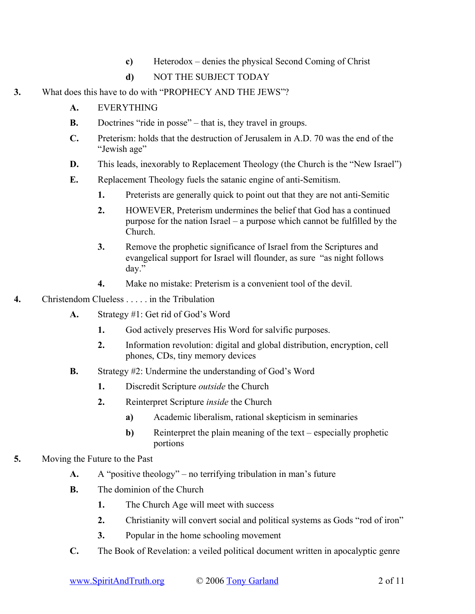- **c)** Heterodox denies the physical Second Coming of Christ
- **d)** NOT THE SUBJECT TODAY
- **3.** What does this have to do with "PROPHECY AND THE JEWS"?
	- **A.** EVERYTHING
	- **B.** Doctrines "ride in posse" that is, they travel in groups.
	- **C.** Preterism: holds that the destruction of Jerusalem in A.D. 70 was the end of the "Jewish age"
	- **D.** This leads, inexorably to Replacement Theology (the Church is the "New Israel")
	- **E.** Replacement Theology fuels the satanic engine of anti-Semitism.
		- **1.** Preterists are generally quick to point out that they are not anti-Semitic
		- **2.** HOWEVER, Preterism undermines the belief that God has a continued purpose for the nation Israel – a purpose which cannot be fulfilled by the Church.
		- **3.** Remove the prophetic significance of Israel from the Scriptures and evangelical support for Israel will flounder, as sure "as night follows day."
		- **4.** Make no mistake: Preterism is a convenient tool of the devil.
- **4.** Christendom Clueless . . . . . in the Tribulation
	- **A.** Strategy #1: Get rid of God's Word
		- **1.** God actively preserves His Word for salvific purposes.
		- **2.** Information revolution: digital and global distribution, encryption, cell phones, CDs, tiny memory devices
	- **B.** Strategy #2: Undermine the understanding of God's Word
		- **1.** Discredit Scripture *outside* the Church
		- **2.** Reinterpret Scripture *inside* the Church
			- **a)** Academic liberalism, rational skepticism in seminaries
			- **b**) Reinterpret the plain meaning of the text especially prophetic portions
- **5.** Moving the Future to the Past
	- **A.** A "positive theology" no terrifying tribulation in man's future
	- **B.** The dominion of the Church
		- **1.** The Church Age will meet with success
		- **2.** Christianity will convert social and political systems as Gods "rod of iron"
		- **3.** Popular in the home schooling movement
	- **C.** The Book of Revelation: a veiled political document written in apocalyptic genre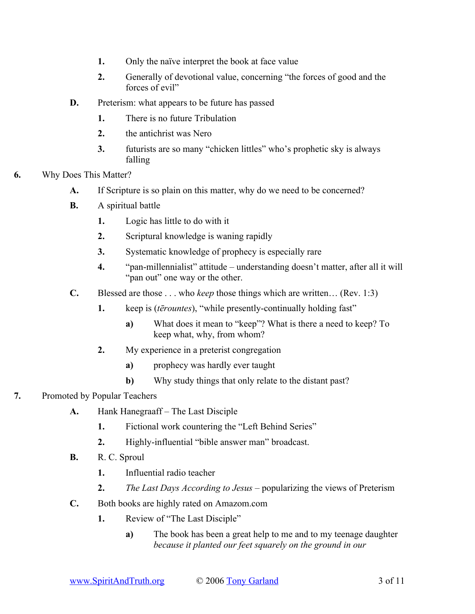- **1.** Only the naïve interpret the book at face value
- **2.** Generally of devotional value, concerning "the forces of good and the forces of evil"
- **D.** Preterism: what appears to be future has passed
	- **1.** There is no future Tribulation
	- **2.** the antichrist was Nero
	- **3.** futurists are so many "chicken littles" who's prophetic sky is always falling
- **6.** Why Does This Matter?
	- **A.** If Scripture is so plain on this matter, why do we need to be concerned?
	- **B.** A spiritual battle
		- **1.** Logic has little to do with it
		- **2.** Scriptural knowledge is waning rapidly
		- **3.** Systematic knowledge of prophecy is especially rare
		- **4.** "pan-millennialist" attitude understanding doesn't matter, after all it will "pan out" one way or the other.
	- **C.** Blessed are those . . . who *keep* those things which are written… (Rev. 1:3)
		- **1.** keep is (*tērountes*), "while presently-continually holding fast"
			- **a)** What does it mean to "keep"? What is there a need to keep? To keep what, why, from whom?
		- **2.** My experience in a preterist congregation
			- **a)** prophecy was hardly ever taught
			- **b)** Why study things that only relate to the distant past?
- **7.** Promoted by Popular Teachers
	- **A.** Hank Hanegraaff The Last Disciple
		- **1.** Fictional work countering the "Left Behind Series"
		- **2.** Highly-influential "bible answer man" broadcast.
	- **B.** R. C. Sproul
		- **1.** Influential radio teacher
		- **2.** *The Last Days According to Jesus* popularizing the views of Preterism
	- **C.** Both books are highly rated on Amazom.com
		- **1.** Review of "The Last Disciple"
			- **a)** The book has been a great help to me and to my teenage daughter *because it planted our feet squarely on the ground in our*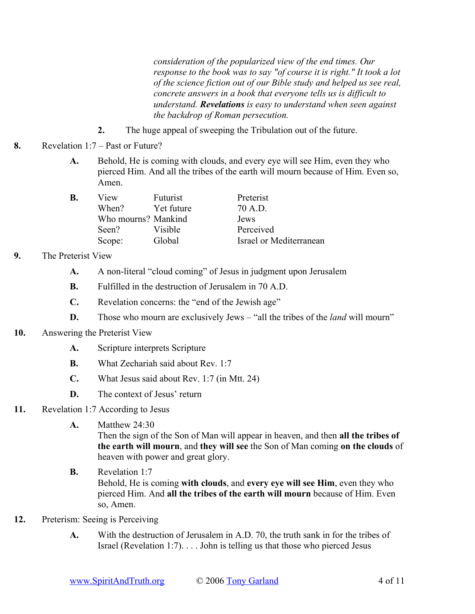*consideration of the popularized view of the end times. Our response to the book was to say "of course it is right." It took a lot of the science fiction out of our Bible study and helped us see real, concrete answers in a book that everyone tells us is difficult to understand. Revelations is easy to understand when seen against the backdrop of Roman persecution.*

- **2.** The huge appeal of sweeping the Tribulation out of the future.
- **8.** Revelation 1:7 Past or Future?
	- **A.** Behold, He is coming with clouds, and every eye will see Him, even they who pierced Him. And all the tribes of the earth will mourn because of Him. Even so, Amen.

| В. | View                | Futurist   | Preterist               |
|----|---------------------|------------|-------------------------|
|    | When?               | Yet future | 70 A.D.                 |
|    | Who mourns? Mankind |            | Jews                    |
|    | Seen?               | Visible    | Perceived               |
|    | Scope:              | Global     | Israel or Mediterranean |

## **9.** The Preterist View

- **A.** A non-literal "cloud coming" of Jesus in judgment upon Jerusalem
- **B.** Fulfilled in the destruction of Jerusalem in 70 A.D.
- **C.** Revelation concerns: the "end of the Jewish age"
- **D.** Those who mourn are exclusively Jews "all the tribes of the *land* will mourn"

## **10.** Answering the Preterist View

- **A.** Scripture interprets Scripture
- **B.** What Zechariah said about Rev. 1:7
- **C.** What Jesus said about Rev. 1:7 (in Mtt. 24)
- **D.** The context of Jesus' return

## **11.** Revelation 1:7 According to Jesus

**A.** Matthew 24:30

Then the sign of the Son of Man will appear in heaven, and then **all the tribes of the earth will mourn**, and **they will see** the Son of Man coming **on the clouds** of heaven with power and great glory.

- **B.** Revelation 1:7 Behold, He is coming **with clouds**, and **every eye will see Him**, even they who pierced Him. And **all the tribes of the earth will mourn** because of Him. Even so, Amen.
- **12.** Preterism: Seeing is Perceiving
	- **A.** With the destruction of Jerusalem in A.D. 70, the truth sank in for the tribes of Israel (Revelation 1:7). . . . John is telling us that those who pierced Jesus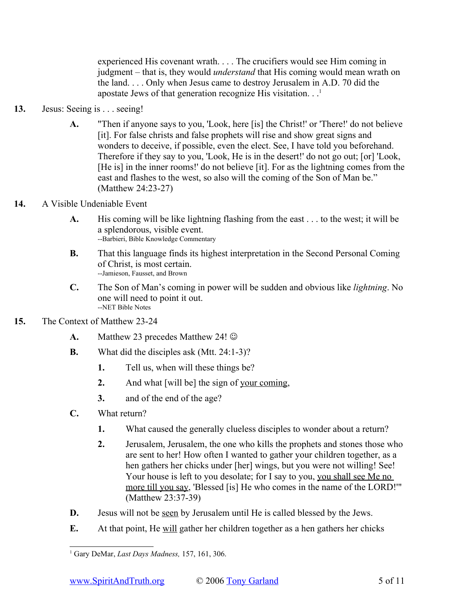experienced His covenant wrath. . . . The crucifiers would see Him coming in judgment – that is, they would *understand* that His coming would mean wrath on the land. . . . Only when Jesus came to destroy Jerusalem in A.D. 70 did the apostate Jews of that generation recognize His visitation.  $\cdot$ .<sup>[1](#page-4-0)</sup>

- **13.** Jesus: Seeing is . . . seeing!
	- **A.** "Then if anyone says to you, 'Look, here [is] the Christ!' or 'There!' do not believe [it]. For false christs and false prophets will rise and show great signs and wonders to deceive, if possible, even the elect. See, I have told you beforehand. Therefore if they say to you, 'Look, He is in the desert!' do not go out; [or] 'Look, [He is] in the inner rooms!' do not believe [it]. For as the lightning comes from the east and flashes to the west, so also will the coming of the Son of Man be." (Matthew 24:23-27)
- **14.** A Visible Undeniable Event
	- **A.** His coming will be like lightning flashing from the east . . . to the west; it will be a splendorous, visible event. --Barbieri, Bible Knowledge Commentary
	- **B.** That this language finds its highest interpretation in the Second Personal Coming of Christ, is most certain. --Jamieson, Fausset, and Brown
	- **C.** The Son of Man's coming in power will be sudden and obvious like *lightning*. No one will need to point it out. --NET Bible Notes
- **15.** The Context of Matthew 23-24
	- **A.** Matthew 23 precedes Matthew 24!  $\odot$
	- **B.** What did the disciples ask (Mtt. 24:1-3)?
		- **1.** Tell us, when will these things be?
		- **2.** And what [will be] the sign of your coming,
		- **3.** and of the end of the age?
	- **C.** What return?
		- **1.** What caused the generally clueless disciples to wonder about a return?
		- **2.** Jerusalem, Jerusalem, the one who kills the prophets and stones those who are sent to her! How often I wanted to gather your children together, as a hen gathers her chicks under [her] wings, but you were not willing! See! Your house is left to you desolate; for I say to you, you shall see Me no more till you say, 'Blessed [is] He who comes in the name of the LORD!'" (Matthew 23:37-39)
	- **D.** Jesus will not be <u>seen</u> by Jerusalem until He is called blessed by the Jews.
	- **E.** At that point, He will gather her children together as a hen gathers her chicks

<span id="page-4-0"></span><sup>1</sup> Gary DeMar, *Last Days Madness,* 157, 161, 306.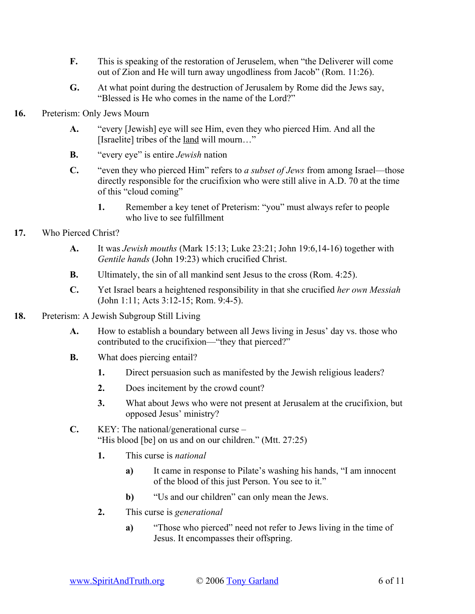- **F.** This is speaking of the restoration of Jeruselem, when "the Deliverer will come out of Zion and He will turn away ungodliness from Jacob" (Rom. 11:26).
- **G.** At what point during the destruction of Jerusalem by Rome did the Jews say, "Blessed is He who comes in the name of the Lord?"
- **16.** Preterism: Only Jews Mourn
	- **A.** "every [Jewish] eye will see Him, even they who pierced Him. And all the [Israelite] tribes of the land will mourn…"
	- **B.** "every eye" is entire *Jewish* nation
	- **C.** "even they who pierced Him" refers to *a subset of Jews* from among Israel—those directly responsible for the crucifixion who were still alive in A.D. 70 at the time of this "cloud coming"
		- **1.** Remember a key tenet of Preterism: "you" must always refer to people who live to see fulfillment
- **17.** Who Pierced Christ?
	- **A.** It was *Jewish mouths* (Mark 15:13; Luke 23:21; John 19:6,14-16) together with *Gentile hands* (John 19:23) which crucified Christ.
	- **B.** Ultimately, the sin of all mankind sent Jesus to the cross (Rom. 4:25).
	- **C.** Yet Israel bears a heightened responsibility in that she crucified *her own Messiah* (John 1:11; Acts 3:12-15; Rom. 9:4-5).
- **18.** Preterism: A Jewish Subgroup Still Living
	- **A.** How to establish a boundary between all Jews living in Jesus' day vs. those who contributed to the crucifixion—"they that pierced?"
	- **B.** What does piercing entail?
		- **1.** Direct persuasion such as manifested by the Jewish religious leaders?
		- **2.** Does incitement by the crowd count?
		- **3.** What about Jews who were not present at Jerusalem at the crucifixion, but opposed Jesus' ministry?
	- **C.** KEY: The national/generational curse "His blood [be] on us and on our children." (Mtt. 27:25)
		- **1.** This curse is *national*
			- **a)** It came in response to Pilate's washing his hands, "I am innocent of the blood of this just Person. You see to it."
			- **b)** "Us and our children" can only mean the Jews.
		- **2.** This curse is *generational*
			- **a)** "Those who pierced" need not refer to Jews living in the time of Jesus. It encompasses their offspring.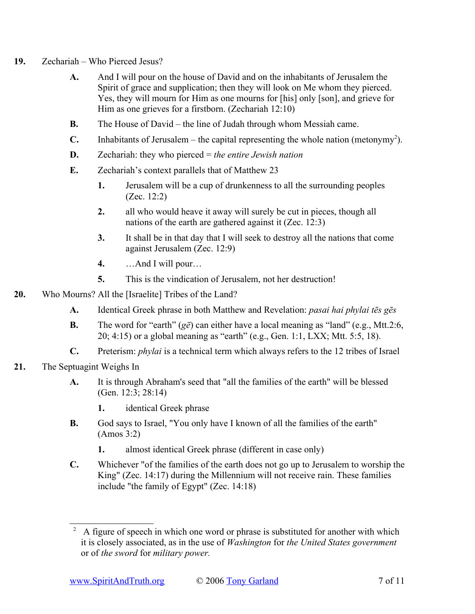- **19.** Zechariah Who Pierced Jesus?
	- **A.** And I will pour on the house of David and on the inhabitants of Jerusalem the Spirit of grace and supplication; then they will look on Me whom they pierced. Yes, they will mourn for Him as one mourns for [his] only [son], and grieve for Him as one grieves for a firstborn. (Zechariah 12:10)
	- **B.** The House of David the line of Judah through whom Messiah came.
	- **C.** Inhabitants of Jerusalem the capital representing the whole nation (metonymy<sup>[2](#page-6-0)</sup>).
	- **D.** Zechariah: they who pierced = *the entire Jewish nation*
	- **E.** Zechariah's context parallels that of Matthew 23
		- **1.** Jerusalem will be a cup of drunkenness to all the surrounding peoples (Zec. 12:2)
		- **2.** all who would heave it away will surely be cut in pieces, though all nations of the earth are gathered against it (Zec. 12:3)
		- **3.** It shall be in that day that I will seek to destroy all the nations that come against Jerusalem (Zec. 12:9)
		- **4.** …And I will pour…
		- **5.** This is the vindication of Jerusalem, not her destruction!
- **20.** Who Mourns? All the [Israelite] Tribes of the Land?
	- **A.** Identical Greek phrase in both Matthew and Revelation: *pasai hai phylai tēs gēs*
	- **B.** The word for "earth" (*gē*) can either have a local meaning as "land" (e.g., Mtt.2:6, 20; 4:15) or a global meaning as "earth" (e.g., Gen. 1:1, LXX; Mtt. 5:5, 18).
	- **C.** Preterism: *phylai* is a technical term which always refers to the 12 tribes of Israel
- **21.** The Septuagint Weighs In
	- **A.** It is through Abraham's seed that "all the families of the earth" will be blessed (Gen. 12:3; 28:14)
		- **1.** identical Greek phrase
	- **B.** God says to Israel, "You only have I known of all the families of the earth" (Amos 3:2)
		- **1.** almost identical Greek phrase (different in case only)
	- **C.** Whichever "of the families of the earth does not go up to Jerusalem to worship the King" (Zec. 14:17) during the Millennium will not receive rain. These families include "the family of Egypt" (Zec. 14:18)

<span id="page-6-0"></span><sup>2</sup> A figure of speech in which one word or phrase is substituted for another with which it is closely associated, as in the use of *Washington* for *the United States government* or of *the sword* for *military power.*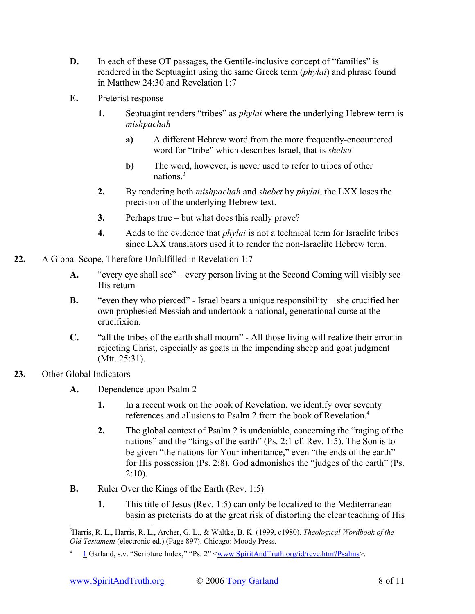- **D.** In each of these OT passages, the Gentile-inclusive concept of "families" is rendered in the Septuagint using the same Greek term (*phylai*) and phrase found in Matthew 24:30 and Revelation 1:7
- **E.** Preterist response
	- **1.** Septuagint renders "tribes" as *phylai* where the underlying Hebrew term is *mishpachah*
		- **a)** A different Hebrew word from the more frequently-encountered word for "tribe" which describes Israel, that is *shebet*
		- **b)** The word, however, is never used to refer to tribes of other nations. [3](#page-7-1)
	- **2.** By rendering both *mishpachah* and *shebet* by *phylai*, the LXX loses the precision of the underlying Hebrew text.
	- **3.** Perhaps true but what does this really prove?
	- **4.** Adds to the evidence that *phylai* is not a technical term for Israelite tribes since LXX translators used it to render the non-Israelite Hebrew term.
- **22.** A Global Scope, Therefore Unfulfilled in Revelation 1:7
	- **A.** "every eye shall see" every person living at the Second Coming will visibly see His return
	- **B.** "even they who pierced" Israel bears a unique responsibility she crucified her own prophesied Messiah and undertook a national, generational curse at the crucifixion.
	- **C.** "all the tribes of the earth shall mourn" All those living will realize their error in rejecting Christ, especially as goats in the impending sheep and goat judgment (Mtt. 25:31).
- **23.** Other Global Indicators
	- **A.** Dependence upon Psalm 2
		- **1.** In a recent work on the book of Revelation, we identify over seventy references and allusions to Psalm 2 from the book of Revelation.[4](#page-7-2)
		- **2.** The global context of Psalm 2 is undeniable, concerning the "raging of the nations" and the "kings of the earth" (Ps. 2:1 cf. Rev. 1:5). The Son is to be given "the nations for Your inheritance," even "the ends of the earth" for His possession (Ps. 2:8). God admonishes the "judges of the earth" (Ps.  $2:10$ ).
	- **B.** Ruler Over the Kings of the Earth (Rev. 1:5)
		- **1.** This title of Jesus (Rev. 1:5) can only be localized to the Mediterranean basin as preterists do at the great risk of distorting the clear teaching of His

<span id="page-7-1"></span><sup>3</sup>Harris, R. L., Harris, R. L., Archer, G. L., & Waltke, B. K. (1999, c1980). *Theological Wordbook of the Old Testament* (electronic ed.) (Page 897). Chicago: Moody Press.

<span id="page-7-2"></span><span id="page-7-0"></span><sup>4</sup> [1](#page-7-0) Garland, s.v. "Scripture Index," "Ps. 2" [<www.SpiritAndTruth.org/id/revc.htm?Psalms](file:///C:usersspiritwebsitemake	eaching	opics_by_tony_garland 8_revelation_1.7_past_or_futurewww.SpiritAndTruth.orgid
evc.htm%3FPsalms)>.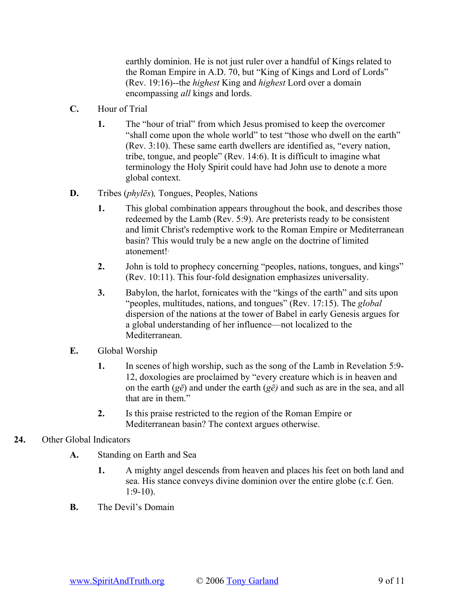earthly dominion. He is not just ruler over a handful of Kings related to the Roman Empire in A.D. 70, but "King of Kings and Lord of Lords" (Rev. 19:16)--the *highest* King and *highest* Lord over a domain encompassing *all* kings and lords.

- **C.** Hour of Trial
	- **1.** The "hour of trial" from which Jesus promised to keep the overcomer "shall come upon the whole world" to test "those who dwell on the earth" (Rev. 3:10). These same earth dwellers are identified as, "every nation, tribe, tongue, and people" (Rev. 14:6). It is difficult to imagine what terminology the Holy Spirit could have had John use to denote a more global context.
- **D.** Tribes (*phylēs*)*,* Tongues, Peoples, Nations
	- **1.** This global combination appears throughout the book, and describes those redeemed by the Lamb (Rev. 5:9). Are preterists ready to be consistent and limit Christ's redemptive work to the Roman Empire or Mediterranean basin? This would truly be a new angle on the doctrine of limited atonement! 1
	- **2.** John is told to prophecy concerning "peoples, nations, tongues, and kings" (Rev. 10:11). This four-fold designation emphasizes universality.
	- **3.** Babylon, the harlot, fornicates with the "kings of the earth" and sits upon "peoples, multitudes, nations, and tongues" (Rev. 17:15). The *global* dispersion of the nations at the tower of Babel in early Genesis argues for a global understanding of her influence—not localized to the Mediterranean.
- **E.** Global Worship
	- **1.** In scenes of high worship, such as the song of the Lamb in Revelation 5:9- 12, doxologies are proclaimed by "every creature which is in heaven and on the earth (*gē*) and under the earth (*gē)* and such as are in the sea, and all that are in them."
	- **2.** Is this praise restricted to the region of the Roman Empire or Mediterranean basin? The context argues otherwise.
- **24.** Other Global Indicators
	- **A.** Standing on Earth and Sea
		- **1.** A mighty angel descends from heaven and places his feet on both land and sea. His stance conveys divine dominion over the entire globe (c.f. Gen.  $1:9-10$ ).
	- **B.** The Devil's Domain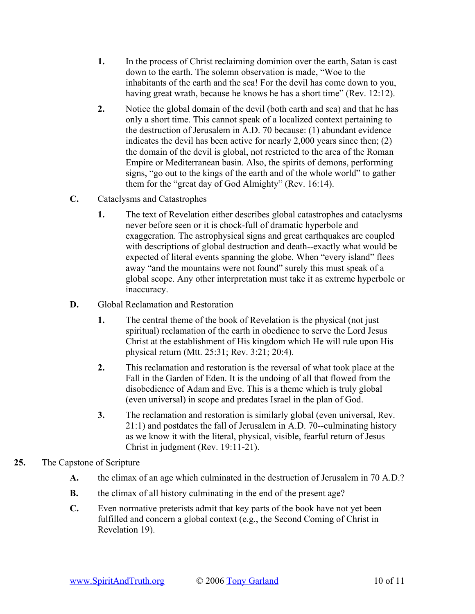- **1.** In the process of Christ reclaiming dominion over the earth, Satan is cast down to the earth. The solemn observation is made, "Woe to the inhabitants of the earth and the sea! For the devil has come down to you, having great wrath, because he knows he has a short time" (Rev. 12:12).
- **2.** Notice the global domain of the devil (both earth and sea) and that he has only a short time. This cannot speak of a localized context pertaining to the destruction of Jerusalem in A.D. 70 because: (1) abundant evidence indicates the devil has been active for nearly 2,000 years since then; (2) the domain of the devil is global, not restricted to the area of the Roman Empire or Mediterranean basin. Also, the spirits of demons, performing signs, "go out to the kings of the earth and of the whole world" to gather them for the "great day of God Almighty" (Rev. 16:14).
- **C.** Cataclysms and Catastrophes
	- **1.** The text of Revelation either describes global catastrophes and cataclysms never before seen or it is chock-full of dramatic hyperbole and exaggeration. The astrophysical signs and great earthquakes are coupled with descriptions of global destruction and death--exactly what would be expected of literal events spanning the globe. When "every island" flees away "and the mountains were not found" surely this must speak of a global scope. Any other interpretation must take it as extreme hyperbole or inaccuracy.
- **D.** Global Reclamation and Restoration
	- **1.** The central theme of the book of Revelation is the physical (not just spiritual) reclamation of the earth in obedience to serve the Lord Jesus Christ at the establishment of His kingdom which He will rule upon His physical return (Mtt. 25:31; Rev. 3:21; 20:4).
	- **2.** This reclamation and restoration is the reversal of what took place at the Fall in the Garden of Eden. It is the undoing of all that flowed from the disobedience of Adam and Eve. This is a theme which is truly global (even universal) in scope and predates Israel in the plan of God.
	- **3.** The reclamation and restoration is similarly global (even universal, Rev. 21:1) and postdates the fall of Jerusalem in A.D. 70--culminating history as we know it with the literal, physical, visible, fearful return of Jesus Christ in judgment (Rev. 19:11-21).
- **25.** The Capstone of Scripture
	- **A.** the climax of an age which culminated in the destruction of Jerusalem in 70 A.D.?
	- **B.** the climax of all history culminating in the end of the present age?
	- **C.** Even normative preterists admit that key parts of the book have not yet been fulfilled and concern a global context (e.g., the Second Coming of Christ in Revelation 19).